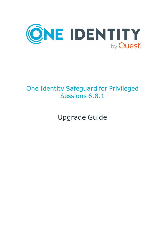

# One Identity Safeguard for Privileged Sessions 6.8.1

Upgrade Guide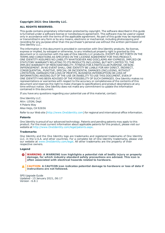#### **Copyright 2021 One Identity LLC.**

#### **ALL RIGHTS RESERVED.**

This guide contains proprietary information protected by copyright. The software described in this guide is furnished under a software license or nondisclosure agreement. This software may be used or copied only in accordance with the terms of the applicable agreement. No part of this guide may be reproduced or transmitted in any form or by any means, electronic or mechanical, including photocopying and recording for any purpose other than the purchaser's personal use without the written permission of One Identity LLC .

The information in this document is provided in connection with One Identity products. No license, express or implied, by estoppel or otherwise, to any intellectual property right is granted by this document or in connection with the sale of One Identity LLC products. EXCEPT AS SET FORTH IN THE TERMS AND CONDITIONS AS SPECIFIED IN THE LICENSE AGREEMENT FOR THIS PRODUCT, ONE IDENTITY ASSUMES NO LIABILITY WHATSOEVER AND DISCLAIMS ANY EXPRESS, IMPLIED OR STATUTORY WARRANTY RELATING TO ITS PRODUCTS INCLUDING, BUT NOT LIMITED TO, THE IMPLIED WARRANTY OF MERCHANTABILITY, FITNESS FOR A PARTICULAR PURPOSE, OR NON-INFRINGEMENT. IN NO EVENT SHALL ONE IDENTITY BE LIABLE FOR ANY DIRECT, INDIRECT, CONSEQUENTIAL, PUNITIVE, SPECIAL OR INCIDENTAL DAMAGES (INCLUDING, WITHOUT LIMITATION, DAMAGES FOR LOSS OF PROFITS, BUSINESS INTERRUPTION OR LOSS OF INFORMATION) ARISING OUT OF THE USE OR INABILITY TO USE THIS DOCUMENT, EVEN IF ONE IDENTITY HAS BEEN ADVISED OF THE POSSIBILITY OF SUCH DAMAGES. One Identity makes no representations or warranties with respect to the accuracy or completeness of the contents of this document and reserves the right to make changes to specifications and product descriptions at any time without notice. One Identity does not make any commitment to update the information contained in this document.

If you have any questions regarding your potential use of this material, contact:

One Identity LLC. Attn: LEGAL Dept 4 Polaris Way Aliso Viejo, CA 92656

Refer to our Web site ([http://www.OneIdentity.com](http://www.oneidentity.com/)) for regional and international office information.

#### **Patents**

One Identity is proud of our advanced technology. Patents and pending patents may apply to this product. For the most current information about applicable patents for this product, please visit our website at [http://www.OneIdentity.com/legal/patents.aspx](http://www.oneidentity.com/legal/patents.aspx).

#### **Trademarks**

One Identity and the One Identity logo are trademarks and registered trademarks of One Identity LLC. in the U.S.A. and other countries. For a complete list of One Identity trademarks, please visit our website at [www.OneIdentity.com/legal](http://www.oneidentity.com/legal). All other trademarks are the property of their respective owners.

#### **Legend**

**WARNING: A WARNING icon highlights a potential risk of bodily injury or property damage, for which industry-standard safety precautions are advised. This icon is often associated with electrical hazards related to hardware.**

**CAUTION: A CAUTION icon indicates potential damage to hardware or loss of data if** A **instructions are not followed.**

SPS Upgrade Guide Updated - 15 January 2021, 06:17 Version - 6.8.1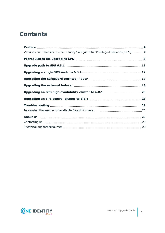# **Contents**

| Versions and releases of One Identity Safeguard for Privileged Sessions (SPS)  4 |  |
|----------------------------------------------------------------------------------|--|
|                                                                                  |  |
|                                                                                  |  |
|                                                                                  |  |
|                                                                                  |  |
|                                                                                  |  |
|                                                                                  |  |
|                                                                                  |  |
|                                                                                  |  |
|                                                                                  |  |
|                                                                                  |  |
|                                                                                  |  |
|                                                                                  |  |

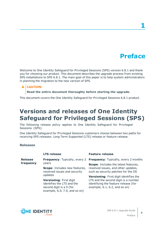# **Preface**

**1**

<span id="page-3-0"></span>Welcome to One Identity Safeguard for Privileged Sessions (SPS) version 6.8.1 and thank you for choosing our product. This document describes the upgrade process from existing SPS installations to SPS 6.8.1. The main goal of this paper is to help system administrators in planning the migration to the new version of SPS.

## **A** CAUTION:

**Read the entire document thoroughly before starting the upgrade.**

<span id="page-3-1"></span>This document covers the One Identity Safeguard for Privileged Sessions 6.8.1 product.

# **Versions and releases of One Identity Safeguard for Privileged Sessions (SPS)**

The following release policy applies to One Identity Safeguard for Privileged Sessions (SPS):

One Identity Safeguard for Privileged Sessions customers choose between two paths for receiving SPS releases: Long Term Supported (LTS) release or feature release.

### **Releases**

|                | <b>LTS release</b>                                                                                                            | <b>Feature release</b>                                                                                                                                               |
|----------------|-------------------------------------------------------------------------------------------------------------------------------|----------------------------------------------------------------------------------------------------------------------------------------------------------------------|
| <b>Release</b> | <b>Frequency:</b> Typically, every 2                                                                                          | <b>Frequency:</b> Typically, every 2 months                                                                                                                          |
| frequency      | years<br><b>Scope:</b> Includes new features,<br>resolved issues and security                                                 | <b>Scope:</b> Includes the latest features,<br>resolved issues, and other updates,<br>such as security patches for the OS                                            |
|                | updates<br>Versioning: First digit<br>identifies the LTS and the<br>second digit is a 0 (for<br>example, 6.0, 7.0, and so on) | <b>Versioning:</b> First digit identifies the<br>LTS and the second digit is a number<br>identifying the feature release (for<br>example, $6.1$ , $6.2$ , and so on) |

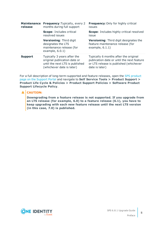| <b>Maintenance</b><br>release | <b>Frequency: Typically, every 2</b><br>months during full support                                                          | <b>Frequency: Only for highly critical</b><br>issues                                                                                            |
|-------------------------------|-----------------------------------------------------------------------------------------------------------------------------|-------------------------------------------------------------------------------------------------------------------------------------------------|
|                               | <b>Scope: Includes critical</b><br>resolved issues                                                                          | <b>Scope:</b> Includes highly critical resolved<br>issue                                                                                        |
|                               | Versioning: Third digit<br>designates the LTS<br>maintenance release (for<br>example, $6.0.1$ )                             | <b>Versioning:</b> Third digit designates the<br>feature maintenance release (for<br>example, $6.1.1$ )                                         |
| <b>Support</b>                | Typically 3 years after the<br>original publication date or<br>until the next LTS is published<br>(whichever date is later) | Typically 6 months after the original<br>publication date or until the next feature<br>or LTS release is published (whichever<br>date is later) |

For a full description of long-term-supported and feature releases, open the SPS [product](https://support.oneidentity.com/one-identity-safeguard-for-privileged-sessions) page on the [Support](https://support.oneidentity.com/one-identity-safeguard-for-privileged-sessions) Portal and navigate to **Self Service Tools > Product Support > Product Life Cycle & Policies > Product Support Policies > Software Product Support Lifecycle Policy**.

### **A** CAUTION:

**Downgrading from a feature release is not supported. If you upgrade from an LTS release (for example, 6.0) to a feature release (6.1), you have to keep upgrading with each new feature release until the next LTS version (in this case, 7.0) is published.**

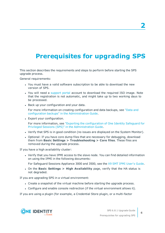# <span id="page-5-0"></span>**Prerequisites for upgrading SPS**

This section describes the requirements and steps to perform before starting the SPS upgrade process.

General requirements:

- You must have a valid software subscription to be able to download the new version of SPS.
- You will need a [support](https://support.oneidentity.com/en-US/Login) portal account to download the required ISO image. Note that the registration is not automatic, and might take up to two working days to be processed.
- Back up your configuration and your data.

For more information on creating configuration and data backups, see ["Data](https://support.oneidentity.com/technical-documents/safeguard-for-privileged-sessions/6.8.1/administration-guide/basic-settings/data-and-configuration-backups/) and configuration backups" in the [Administration](https://support.oneidentity.com/technical-documents/safeguard-for-privileged-sessions/6.8.1/administration-guide/basic-settings/data-and-configuration-backups/) Guide.

• Export your configuration.

For more information, see "Exporting the [configuration](https://support.oneidentity.com/technical-documents/safeguard-for-privileged-sessions/6.8.1/administration-guide/managing-one-identity-safeguard-for-privileged-sessions-sps/upgrading-one-identity-safeguard-for-privileged-sessions-sps/exporting-the-configuration-of-one-identity-safeguard-for-privileged-sessions-sps/) of One Identity Safeguard for Privileged Sessions (SPS)" in the [Administration](https://support.oneidentity.com/technical-documents/safeguard-for-privileged-sessions/6.8.1/administration-guide/managing-one-identity-safeguard-for-privileged-sessions-sps/upgrading-one-identity-safeguard-for-privileged-sessions-sps/exporting-the-configuration-of-one-identity-safeguard-for-privileged-sessions-sps/) Guide.

- Verify that SPS is in good condition (no issues are displayed on the System Monitor).
- Optional: If you have core dump files that are necessary for debugging, download them from **Basic Settings > Troubleshooting > Core files**. These files are removed during the upgrade process.

If you have a high availability cluster:

• Verify that you have IPMI access to the slave node. You can find detailed information on using the IPMI in the following documents:

For Safeguard Sessions Appliance 3000 and 3500, see the X9 SMT IPMI [User's](http://www.supermicro.com/manuals/other/X9_SMT_IPMI.pdf) Guide.

<sup>l</sup> On the **Basic Settings > High Availability** page, verify that the HA status is not degraded.

If you are upgrading SPS in a virtual environment:

- Create a snapshot of the virtual machine before starting the upgrade process.
- <sup>l</sup> Configure and enable console redirection (if the virtual environment allows it).

If you are using a plugin (for example, a Credential Store plugin, or a multi-factor



**6**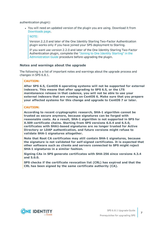authentication plugin):

• You will need an updated version of the plugin you are using. Download it from [Downloads](https://support.oneidentity.com/my-downloads) page.

NOTE:

Version 2.2.0 and later of the One Identity Starling Two-Factor Authentication plugin works only if you have joined your SPS deployment to Starling.

If you want use version 2.2.0 and later of the One Identity Starling Two-Factor Authentication plugin, complete the "Joining to One Identity [Starling"](https://support.oneidentity.com/technical-documents/safeguard-for-privileged-sessions/6.8.1/administration-guide/basic-settings/joining-to-one-identity-starling/) in the [Administration](https://support.oneidentity.com/technical-documents/safeguard-for-privileged-sessions/6.8.1/administration-guide/basic-settings/joining-to-one-identity-starling/) Guide procedure before upgrading the plugin.

### **Notes and warnings about the upgrade**

The following is a list of important notes and warnings about the upgrade process and changes in SPS 6.8.1.

### **CAUTION:**

**After SPS 6.5, CentOS 6 operating systems will not be supported for external indexers. This means that after upgrading to SPS 6.5, or the LTS maintanance release in that cadence, you will not be able to use your external indexers that are running on CentOS 6. Make sure that you prepare your affected systems for this change and upgrade to CentOS 7 or later.**

### **CAUTION:**

**According to recent cryptographic research, SHA-1 algorithm cannot be trusted as secure anymore, because signatures can be forged with reasonable costs. As a result, SHA-1 algorithm is not supported in SPS for X.509 certificate chains. Starting from SPS versions 6.0.4 and 6.5.0, certificates with SHA1-based signatures are no longer trusted for Active Directory or LDAP authentication, and future versions might refuse to validate SHA-1 signatures altogether.**

**Note that Root CA certificates may still contain SHA-1 signatures, because the signature is not validated for self-signed certificates. It is expected that other software such as clients and servers connected to SPS might reject SHA-1 signatures in a similar fashion.**

**Signing CAs in SPS generate certificates with SHA-256 since versions 4.3.4 and 5.0.0.**

**SPS checks if the certificate revocation list (CRL) has expired and that the CRL has been signed by the same certificate authority (CA).**

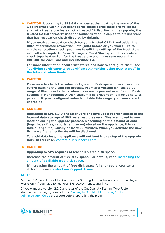**CAUTION: Upgrading to SPS 6.8 changes authenticating the users of the web interface with X.509 client certificates: certificates are validated against a trust store instead of a trusted CA list. During the upgrade, the trusted CA list formerly used for authentication is copied to a trust store that has revocation check disabled by default.**

**If you enabled revocation check for your trusted CA list and added the URLs of certificate revocation lists (CRL) before or you would like to enable revocation check, you have to edit the settings of the trust store manually. Navigate to Basic Settings > Trust Stores, select revocation check type Leaf or Full for the trust store and make sure you add a CRL URL for each root and intermediate CA.**

**For more information about trust stores and how to configure them, see "Verifying [certificates](https://support.oneidentity.com/technical-documents/safeguard-for-privileged-sessions/6.8.1/administration-guide/general-connection-settings/verifying-certificates-with-certificate-authorities-using-trust-stores/) with Certificate Authorities using trust stores" in the [Administration](https://support.oneidentity.com/technical-documents/safeguard-for-privileged-sessions/6.8.1/administration-guide/general-connection-settings/verifying-certificates-with-certificate-authorities-using-trust-stores/) Guide.**

### **A** CAUTION:

**Make sure to check the value configured in Disk space fill-up prevention before starting the upgrade process. From SPS version 6.4, the value range of Disconnect clients when disks are: x percent used field in Basic Settings > Management > Disk space fill up prevention is limited to 50-98 percent. If your configured value is outside this range, you cannot start upgrading.**

### **A** CAUTION:

**Upgrading to SPS 6.3.0 and later versions involves a reorganization in the internal data storage of SPS. As a result, several files are moved to new location during the upgrade process. Depending on the amount of data (logs, index files, reports, and so on) stored on the appliance, this can take a long time, usually at least 30 minutes. When you activate the new firmware file, an estimate will be displayed.**

**To avoid data loss, the appliance will not boot if this step of the upgrade fails. In this case, contact our [Support](https://support.oneidentity.com/one-identity-safeguard-for-privileged-sessions) Team.**

### **A** CAUTION:

**Upgrading to SPS requires at least 10% free disk space.**

**Increase the amount of free disk space. For details, read [Increasing](#page-26-1) the amount of [available](#page-26-1) free disk space.**

**If increasing the amount of free disk space fails, or you encounter a different issue, contact our [Support](https://support.oneidentity.com/one-identity-safeguard-for-privileged-sessions) Team.**

### NOTE:

Version 2.2.0 and later of the One Identity Starling Two-Factor Authentication plugin works only if you have joined your SPS deployment to Starling.

If you want use version 2.2.0 and later of the One Identity Starling Two-Factor Authentication plugin, complete the "Joining to One Identity [Starling"](https://support.oneidentity.com/technical-documents/safeguard-for-privileged-sessions/6.8.1/administration-guide/basic-settings/joining-to-one-identity-starling/) in the [Administration](https://support.oneidentity.com/technical-documents/safeguard-for-privileged-sessions/6.8.1/administration-guide/basic-settings/joining-to-one-identity-starling/) Guide procedure before upgrading the plugin.

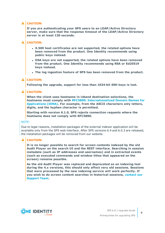# **A** CAUTION:

**If you are authenticating your SPS users to an LDAP/Active Directory server, make sure that the response timeout of the LDAP/Active Directory server is at least 120 seconds.**

# **A** CAUTION:

- <sup>l</sup> **X.509 host certificates are not supported, the related options have been removed from the product. One Identity recommends using public keys instead.**
- <sup>l</sup> **DSA keys are not supported, the related options have been removed from the product. One Identity recommends using RSA or Ed25519 keys instead.**
- <sup>l</sup> **The log ingestion feature of SPS has been removed from the product.**

### **A** CAUTION:

**Following the upgrade, support for less than 1024-bit SSH keys is lost.**

#### A **CAUTION:**

**When the client uses hostname in inband destination selections, the hostname must comply with RFC5890: [Internationalized](https://tools.ietf.org/html/rfc5890) Domain Names for [Applications](https://tools.ietf.org/html/rfc5890) (IDNA). For example, from the ASCII characters only letters, digits, and the hyphen character is permitted.**

**Starting with version 6.1.0, SPS rejects connection requests where the hostname does not comply with RFC5890.**

### NOTE:

Due to legal reasons, installation packages of the external indexer application will be available only from the SPS web interface. After SPS versions 6.4 and 6.0.3 are released, the installation packages will be removed from our website.

### **A** CAUTION:

**It is no longer possible to search for screen contents indexed by the old Audit Player on the search UI and the REST interface. Searching in session metadata (such as IP addresses and usernames) and in extracted events (such as executed commands and window titles that appeared on the screen) remains possible.**

**As the old Audit Player was replaced and deprecated as an indexing tool during the 4.x versions, this should only affect very old sessions. Sessions that were processed by the new indexing service will work perfectly. If you wish to do screen content searches in historical sessions, [contact](https://support.oneidentity.com/one-identity-safeguard-for-privileged-sessions) our [Support](https://support.oneidentity.com/one-identity-safeguard-for-privileged-sessions) Team.**

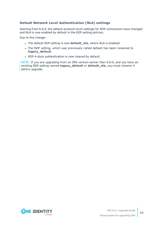# **Default Network Level Authentication (NLA) settings**

Starting from 6.8.0, the default protocol-level settings for RDP connections have changed and NLA is now enabled by default in the RDP setting policies.

Due to this change:

- **.** The default RDP setting is now **default\_nla**, where NLA is enabled.
- The RDP setting, which was previously called default has been renamed to **legacy\_default**.
- RDP 4-style authentication is now cleared by default.

NOTE: If you are upgrading from an SPS version earlier than 6.8.0, and you have an existing RDP setting named **legacy\_default** or **default\_nla**, you must rename it before upgrade.

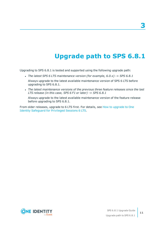# **Upgrade path to SPS 6.8.1**

<span id="page-10-0"></span>Upgrading to SPS 6.8.1 is tested and supported using the following upgrade path:

- <sup>l</sup> *The latest SPS 6 LTS maintenance version (for example, 6.0.x) -> SPS 6.8.1*
- Always upgrade to the latest available maintenance version of SPS 6 LTS before upgrading to SPS 6.8.1.
- <sup>l</sup> *The latest maintenance versions of the previous three feature releases since the last LTS release (in this case, SPS 6 F1 or later) -> SPS 6.8.1*

Always upgrade to the latest available maintenance version of the feature release before upgrading to SPS 6.8.1.

From older releases, upgrade to 6 LTS first. For details, see How to [upgrade](https://support.oneidentity.com/technical-documents/one-identity-safeguard-for-privileged-sessions/6.0/upgrade-guide) to One Identity [Safeguard](https://support.oneidentity.com/technical-documents/one-identity-safeguard-for-privileged-sessions/6.0/upgrade-guide) for Privileged Sessions 6 LTS.

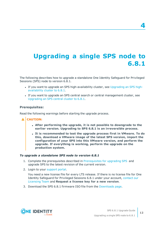# <span id="page-11-0"></span>**Upgrading a single SPS node to 6.8.1**

The following describes how to upgrade a standalone One Identity Safeguard for Privileged Sessions (SPS) node to version 6.8.1.

- If you want to upgrade an SPS high-availability cluster, see [Upgrading](#page-19-0) an SPS high[availability](#page-19-0) cluster to 6.8.1.
- If you want to upgrade an SPS central search or central management cluster, see [Upgrading](#page-25-0) an SPS central cluster to 6.8.1.

### **Prerequisites:**

Read the following warnings before starting the upgrade process.

- **A** CAUTION:
	- <sup>l</sup> **After performing the upgrade, it is not possible to downgrade to the earlier version. Upgrading to SPS 6.8.1 is an irreversible process.**
	- <sup>l</sup> **It is recommended to test the upgrade process first in VMware. To do this, download a VMware image of the latest SPS version, import the configuration of your SPS into this VMware version, and perform the upgrade. If everything is working, perform the upgrade on the production system.**

#### *To upgrade a standalone SPS node to version 6.8.1*

- 1. Complete the prerequisites described in [Prerequisites](#page-5-0) for upgrading SPS and upgrade SPS to the latest revision of the current version.
- 2. Login to your [support](https://support.oneidentity.com/en-US/Login) portal.

You need a new license file for every LTS release. If there is no license file for One Identity Safeguard for Privileged Sessions 6.8.1 under your account, [contact](https://support.oneidentity.com/contact-us/licensing) our [Licensing](https://support.oneidentity.com/contact-us/licensing) Team and **Request a license key for a new version**.

3. Download the SPS 6.8.1 firmware ISO file from the [Downloads](https://support.oneidentity.com/my-downloads) page.

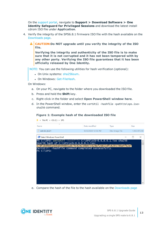On the [support](https://support.oneidentity.com/en-US/Login) portal, navigate to **Support > Download Software > One Identity Safeguard for Privileged Sessions** and download the latest install cdrom ISO file under **Application**.

- 4. Verify the integrity of the SPS6.8.1 firmware ISO file with the hash available on the [Downloads](https://support.oneidentity.com/my-downloads) page.
	- ΔI **CAUTION:Do NOT upgrade until you verify the integrity of the ISO file.**

**Verifying the integrity and authenticity of the ISO file is to make sure that it is not corrupted and it has not been tampered with by any other party. Verifying the ISO file guarantees that it has been officially released by One Identity.**

NOTE: You can use the following utilities for hash verification (optional):

- On Unix systems: [sha256sum.](https://linux.die.net/man/1/sha256sum)
- On Windows: [Get-FileHash](https://docs.microsoft.com/en-us/powershell/module/microsoft.powershell.utility/get-filehash?view=powershell-7).

On Windows:

- a. On your PC, navigate to the folder where you downloaded the ISO file.
- b. Press and hold the **Shift** key.
- c. Right-click in the folder and select **Open PowerShell window here**.
- d. In the PowerShell window, enter the certUtil -hashfile <path\to\sps.iso> sha256 command.

### **Figure 1: Example hash of the downloaded ISO file**

| 9/23/2020 12:36 PM                                            | Disc Image File                                     |                                                                  | 1,465,976 KB |          |
|---------------------------------------------------------------|-----------------------------------------------------|------------------------------------------------------------------|--------------|----------|
|                                                               |                                                     |                                                                  |              |          |
|                                                               |                                                     |                                                                  |              | $\times$ |
| PS C:\SPS> certUtil -hashfile C:\SPS\scb-6.6_6.6.1.iso sha256 |                                                     |                                                                  |              |          |
| SHA256 hash of C:\SPS\scb-6.6_6.6.1.1so:                      |                                                     |                                                                  |              |          |
|                                                               |                                                     |                                                                  |              |          |
|                                                               |                                                     |                                                                  |              |          |
|                                                               |                                                     |                                                                  |              |          |
|                                                               | CertUtil: -hashfile command completed successfully. | 57df2b88e910e6ab098801ab74c929238b97c629af26815dfc6295786a4f62ef |              |          |

e. Compare the hash of the file to the hash available on the [Downloads](https://support.oneidentity.com/my-downloads) page

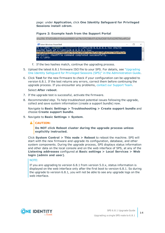page: under **Application**, click **One Identity Safeguard for Privileged Sessions install cdrom**.

### **Figure 2: Example hash from the Support Portal**

sha256: 57df2b88e910e6ab098801ab74c929238b97c629af26815dfc6295786a4f62ef



- f. If the two hashes match, continue the upgrading process.
- 5. Upload the latest 6.8.1 firmware ISO file to your SPS. For details, see ["Upgrading](https://support.oneidentity.com/technical-documents/safeguard-for-privileged-sessions/6.8.1/administration-guide/managing-one-identity-safeguard-for-privileged-sessions-sps/upgrading-one-identity-safeguard-for-privileged-sessions-sps/) One Identity Safeguard for Privileged Sessions (SPS)" in the [Administration](https://support.oneidentity.com/technical-documents/safeguard-for-privileged-sessions/6.8.1/administration-guide/managing-one-identity-safeguard-for-privileged-sessions-sps/upgrading-one-identity-safeguard-for-privileged-sessions-sps/) Guide.
- 6. Click **Test** for the new firmware to check if your configuration can be upgraded to version 6.8.1. If the test returns any errors, correct them before continuing the upgrade process. If you encounter any problems, contact our [Support](https://support.oneidentity.com/one-identity-safeguard-for-privileged-sessions) Team.

#### Select **After reboot**.

- 7. If the upgrade test is successful, activate the firmware.
- 8. *Recommended step.* To help troubleshoot potential issues following the upgrade, collect and save system information (create a support bundle) now.

Navigate to **Basic Settings > Troubleshooting > Create support bundle** and choose **Create support bundle**.

#### 9. Navigate to **Basic Settings > System**.

#### Δ **CAUTION:**

**Do NOT click Reboot cluster during the upgrade process unless explicitly instructed.**

Click **System Control > This node > Reboot** to reboot the machine. SPS will start with the new firmware and upgrade its configuration, database, and other system components. During the upgrade process, SPS displays status information and other data on the local console and on the web interface of SPS, at any of the **Listening addresses** configured at **Basic settings > Local Services > Web login (admin and user)**.

### NOTE:

If you are upgrading to version 6.8.1 from version 5.0.x, status information is displayed on the web interface only after the first boot to version 6.8.1. So during the upgrade to version 6.8.1, you will not be able to see any upgrade logs on the web interface.

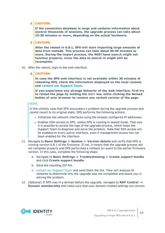## **A** CAUTION:

**If the connection database is large and contains information about several thousands of sessions, the upgrade process can take about 15-20 minutes or more, depending on the actual hardware.**

### **A** CAUTION:

**After the reboot in 6.8.1, SPS will start importing large amounts of data from metadb. This process can take about 30-40 minutes or more. During the import process, the REST base search might not function properly, since the data to search in might still be incomplete.**

10. After the reboot, login to the web interface.

#### AI **CAUTION:**

**In case the SPS web interface is not available within 30 minutes of rebooting SPS, check the information displayed on the local console and contact our [Support](https://support.oneidentity.com/one-identity-safeguard-for-privileged-sessions) Team.**

**If you experience any strange behavior of the web interface, first try to reload the page by holding the SHIFT key while clicking the Reload button of your browser to remove any cached version of the page.**

### NOTE:

In the unlikely case that SPS encounters a problem during the upgrade process and cannot revert to its original state, SPS performs the following actions:

- <sup>l</sup> Initializes the network interfaces using the already configured IP addresses.
- Enables SSH-access to SPS, unless SPS is running in sealed mode. That way it is possible to access the logs of the upgrade process, which helps the Support Team to diagnose and solve the problem. Note that SSH access will be enabled on every active interface, even if management access has not been enabled for the interface.
- 11. Navigate to **Basic Settings > System > Version details** and verify that SPS is running version 6.8.1 of the firmware. If not, it means that the upgrade process did not complete properly and SPS performed a rollback to revert to the earlier firmware version. In this case, complete the following steps:
	- a. Navigate to **Basic Settings > Troubleshooting > Create support bundle** and click **Create support bundle**.
	- b. Save the resulting ZIP file.
	- c. contact our [Support](https://support.oneidentity.com/one-identity-safeguard-for-privileged-sessions) Team and send them the file. They will analyze its contents to determine why the upgrade was not completed and assist you in solving the problem.
- 12. (Optional) If SPS was in a domain before the upgrade, navigate to **RDP Control -> Domain membership** and make sure that your domain-related settings are correct.

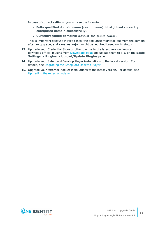In case of correct settings, you will see the following:

- <sup>l</sup> **Fully qualified domain name (realm name): Host joined currently configured domain successfully.**
- <sup>l</sup> **Currently joined domains:** <name.of.the.joined.domain>

This is important because in rare cases, the appliance might fall out from the domain after an upgrade, and a manual rejoin might be required based on its status.

- 13. Upgrade your Credential Store or other plugins to the latest version. You can download official plugins from [Downloads](https://support.oneidentity.com/my-downloads) page and upload them to SPS on the **Basic Settings > Plugins > Upload/Update Plugins** page.
- 14. Upgrade your Safeguard Desktop Player installations to the latest version. For details, see [Upgrading](#page-16-0) the Safeguard Desktop Player.
- 15. Upgrade your external indexer installations to the latest version. For details, see [Upgrading](#page-17-0) the external indexer.

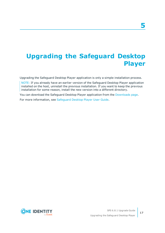# <span id="page-16-0"></span>**Upgrading the Safeguard Desktop Player**

Upgrading the Safeguard Desktop Player application is only a simple installation process.

NOTE: If you already have an earlier version of the Safeguard Desktop Player application installed on the host, uninstall the previous installation. If you want to keep the previous installation for some reason, install the new version into a different directory.

You can download the Safeguard Desktop Player application from the [Downloads](https://support.oneidentity.com/my-downloads) page.

For more information, see [Safeguard](https://support.oneidentity.com/technical-documents/safeguard-for-privileged-sessions/6.8.1/safeguard-desktop-player-user-guide/) Desktop Player User Guide.

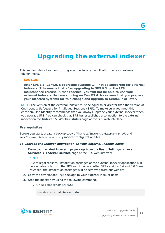# **6**

# <span id="page-17-0"></span>**Upgrading the external indexer**

This section describes how to upgrade the indexer application on your external indexer hosts.

### **CAUTION:**

**After SPS 6.5, CentOS 6 operating systems will not be supported for external indexers. This means that after upgrading to SPS 6.5, or the LTS maintanance release in that cadence, you will not be able to use your external indexers that are running on CentOS 6. Make sure that you prepare your affected systems for this change and upgrade to CentOS 7 or later.**

NOTE: The version of the external indexer must be equal to or greater than the version of One Identity Safeguard for Privileged Sessions (SPS). To make sure you meet this criterion, One Identity recommends that you always upgrade your external indexer when you upgrade SPS. You can check that SPS has established a connection to the external indexer on the **Indexer > Worker status** page of the SPS web interface.

### **Prerequisites**

Before you start, create a backup copy of the /etc/indexer/indexerworker.cfg and /etc/indexer/indexer-certs.cfg indexer configuration files.

### *To upgrade the indexer application on your external indexer hosts*

1. Download the latest indexer .rpm package from the **Basic Settings > Local Services > Indexer service** page of the SPS web interface.

### NOTE:

Due to legal reasons, installation packages of the external indexer application will be available only from the SPS web interface. After SPS versions 6.4 and 6.0.3 are released, the installation packages will be removed from our website.

- 2. Copy the downloaded .rpm package to your external indexer hosts.
- 3. Stop the indexer by using the following command.
	- On Red Hat or CentOS 6.5:

service external-indexer stop

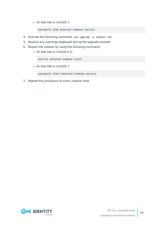• On Red Hat or CentOS 7:

systemctl stop external-indexer.service

- 4. Execute the following command: yum upgrade -y indexer.rpm
- 5. Resolve any warnings displayed during the upgrade process.
- 6. Restart the indexer by using the following command.
	- On Red Hat or CentOS 6.5:

service external-indexer start

• On Red Hat or CentOS 7:

systemctl start external-indexer.service

7. Repeat this procedure on every indexer host.

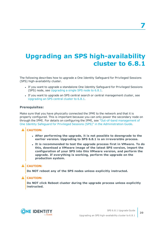# <span id="page-19-0"></span>**Upgrading an SPS high-availability cluster to 6.8.1**

The following describes how to upgrade a One Identity Safeguard for Privileged Sessions (SPS) high-availability cluster.

- If you want to upgrade a standalone One Identity Safeguard for Privileged Sessions (SPS) node, see [Upgrading](#page-11-0) a single SPS node to 6.8.1.
- If you want to upgrade an SPS central search or central management cluster, see [Upgrading](#page-25-0) an SPS central cluster to 6.8.1.

### **Prerequisites:**

Make sure that you have physically connected the IPMI to the network and that it is properly configured. This is important because you can only power the secondary node on through the IPMI. For details on configuring the IPMI, see "Out-of-band [management](https://support.oneidentity.com/technical-documents/safeguard-for-privileged-sessions/6.8.1/administration-guide/managing-one-identity-safeguard-for-privileged-sessions-sps/out-of-band-management-of-one-identity-safeguard-for-privileged-sessions-sps/) of One Identity Safeguard for Privileged Sessions (SPS)" in the [Administration](https://support.oneidentity.com/technical-documents/safeguard-for-privileged-sessions/6.8.1/administration-guide/managing-one-identity-safeguard-for-privileged-sessions-sps/out-of-band-management-of-one-identity-safeguard-for-privileged-sessions-sps/) Guide.

### **A** CAUTION:

- <sup>l</sup> **After performing the upgrade, it is not possible to downgrade to the earlier version. Upgrading to SPS 6.8.1 is an irreversible process.**
- <sup>l</sup> **It is recommended to test the upgrade process first in VMware. To do this, download a VMware image of the latest SPS version, import the configuration of your SPS into this VMware version, and perform the upgrade. If everything is working, perform the upgrade on the production system.**

### **A** CAUTION:

**Do NOT reboot any of the SPS nodes unless explicitly instructed.**

### **CAUTION:**

**Do NOT click Reboot cluster during the upgrade process unless explicitly instructed.**

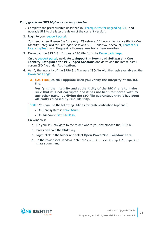### *To upgrade an SPS high-availability cluster*

- 1. Complete the prerequisites described in [Prerequisites](#page-5-0) for upgrading SPS and upgrade SPS to the latest revision of the current version.
- 2. Login to your [support](https://support.oneidentity.com/en-US/Login) portal.

You need a new license file for every LTS release. If there is no license file for One Identity Safeguard for Privileged Sessions 6.8.1 under your account, [contact](https://support.oneidentity.com/contact-us/licensing) our [Licensing](https://support.oneidentity.com/contact-us/licensing) Team and **Request a license key for a new version**.

3. Download the SPS 6.8.1 firmware ISO file from the [Downloads](https://support.oneidentity.com/my-downloads) page.

On the [support](https://support.oneidentity.com/en-US/Login) portal, navigate to **Support > Download Software > One Identity Safeguard for Privileged Sessions** and download the latest install cdrom ISO file under **Application**.

- 4. Verify the integrity of the SPS6.8.1 firmware ISO file with the hash available on the [Downloads](https://support.oneidentity.com/my-downloads) page.
	- Δ **CAUTION:Do NOT upgrade until you verify the integrity of the ISO file.**

**Verifying the integrity and authenticity of the ISO file is to make sure that it is not corrupted and it has not been tampered with by any other party. Verifying the ISO file guarantees that it has been officially released by One Identity.**

NOTE: You can use the following utilities for hash verification (optional):

- On Unix systems: [sha256sum.](https://linux.die.net/man/1/sha256sum)
- On Windows: [Get-FileHash](https://docs.microsoft.com/en-us/powershell/module/microsoft.powershell.utility/get-filehash?view=powershell-7).

On Windows:

- a. On your PC, navigate to the folder where you downloaded the ISO file.
- b. Press and hold the **Shift** key.
- c. Right-click in the folder and select **Open PowerShell window here**.
- d. In the PowerShell window, enter the certUtil -hashfile <path\to\sps.iso> sha256 command.

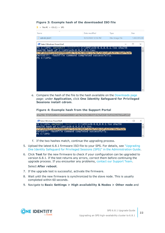### **Figure 3: Example hash of the downloaded ISO file**

| scb-6.6 6.6.1<br>Disc Image File<br>9/23/2020 12:36 PM<br>PS C:\SPS> certUtil -hashfile C:\SPS\scb-6.6_6.6.1.iso sha256<br>SHA256 hash of C:\SPS\scb-6.6_6.6.1.iso:<br>57df2b88e910e6ab098801ab74c929238b97c629af26815dfc6295786a4f62ef<br>CertUtil: -hashfile command completed successfully.<br>PS C:\SPS> | Name                        | Date modified | <b>Type</b> | <b>Size</b>  |
|--------------------------------------------------------------------------------------------------------------------------------------------------------------------------------------------------------------------------------------------------------------------------------------------------------------|-----------------------------|---------------|-------------|--------------|
|                                                                                                                                                                                                                                                                                                              |                             |               |             |              |
|                                                                                                                                                                                                                                                                                                              |                             |               |             | 1,465,976 KB |
|                                                                                                                                                                                                                                                                                                              | 2 Select Windows PowerShell |               |             | $\times$     |
|                                                                                                                                                                                                                                                                                                              |                             |               |             |              |
|                                                                                                                                                                                                                                                                                                              |                             |               |             |              |
|                                                                                                                                                                                                                                                                                                              |                             |               |             |              |
|                                                                                                                                                                                                                                                                                                              |                             |               |             |              |
|                                                                                                                                                                                                                                                                                                              |                             |               |             |              |
|                                                                                                                                                                                                                                                                                                              |                             |               |             |              |
|                                                                                                                                                                                                                                                                                                              |                             |               |             |              |
|                                                                                                                                                                                                                                                                                                              |                             |               |             |              |
|                                                                                                                                                                                                                                                                                                              |                             |               |             |              |
|                                                                                                                                                                                                                                                                                                              |                             |               |             |              |
|                                                                                                                                                                                                                                                                                                              |                             |               |             |              |
|                                                                                                                                                                                                                                                                                                              |                             |               |             |              |
|                                                                                                                                                                                                                                                                                                              |                             |               |             |              |
|                                                                                                                                                                                                                                                                                                              |                             |               |             |              |
|                                                                                                                                                                                                                                                                                                              |                             |               |             |              |
|                                                                                                                                                                                                                                                                                                              |                             |               |             |              |
|                                                                                                                                                                                                                                                                                                              |                             |               |             |              |
|                                                                                                                                                                                                                                                                                                              |                             |               |             |              |
|                                                                                                                                                                                                                                                                                                              |                             |               |             |              |
|                                                                                                                                                                                                                                                                                                              |                             |               |             |              |
|                                                                                                                                                                                                                                                                                                              |                             |               |             |              |
|                                                                                                                                                                                                                                                                                                              |                             |               |             |              |
|                                                                                                                                                                                                                                                                                                              |                             |               |             |              |
|                                                                                                                                                                                                                                                                                                              |                             |               |             |              |

e. Compare the hash of the file to the hash available on the [Downloads](https://support.oneidentity.com/my-downloads) page page: under **Application**, click **One Identity Safeguard for Privileged Sessions install cdrom**.

### **Figure 4: Example hash from the Support Portal**

sha256: 57df2b88e910e6ab098801ab74c929238b97c629af26815dfc6295786a4f62ef

| 2 Select Windows PowerShell                                                                                             | $ \Box$ $\times$ |          |
|-------------------------------------------------------------------------------------------------------------------------|------------------|----------|
| PS C:\SPS> certUtil -hashfile C:\SPS\scb-6.6_6.6.1.iso sha256<br>SHA256 hash of C:\SPS\scb-6.6_6.6.1.iso:               |                  |          |
| 57df2b88e910e6ab098801ab74c929238b97c629af26815dfc6295786a4f62ef<br>CertUtil: -hashfile command completed successfully. |                  |          |
| PS C:\SPS>                                                                                                              |                  | $\vee$ . |

- f. If the two hashes match, continue the upgrading process.
- 5. Upload the latest 6.8.1 firmware ISO file to your SPS. For details, see ["Upgrading](https://support.oneidentity.com/technical-documents/safeguard-for-privileged-sessions/6.8.1/administration-guide/managing-one-identity-safeguard-for-privileged-sessions-sps/upgrading-one-identity-safeguard-for-privileged-sessions-sps/) One Identity Safeguard for Privileged Sessions (SPS)" in the [Administration](https://support.oneidentity.com/technical-documents/safeguard-for-privileged-sessions/6.8.1/administration-guide/managing-one-identity-safeguard-for-privileged-sessions-sps/upgrading-one-identity-safeguard-for-privileged-sessions-sps/) Guide.
- 6. Click **Test** for the new firmware to check if your configuration can be upgraded to version 6.8.1. If the test returns any errors, correct them before continuing the upgrade process. If you encounter any problems, contact our [Support](https://support.oneidentity.com/one-identity-safeguard-for-privileged-sessions) Team.

### Select **After reboot**.

- 7. If the upgrade test is successful, activate the firmware.
- 8. Wait until the new firmware is synchronized to the slave node. This is usually completed within 60 seconds.
- 9. Navigate to **Basic Settings > High availability & Nodes > Other node** and

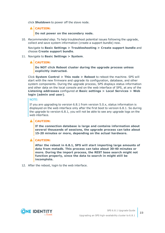click **Shutdown** to power off the slave node.

**A** CAUTION:

**Do not power on the secondary node.**

10. *Recommended step.* To help troubleshoot potential issues following the upgrade, collect and save system information (create a support bundle) now.

Navigate to **Basic Settings > Troubleshooting > Create support bundle** and choose **Create support bundle**.

11. Navigate to **Basic Settings > System**.

## **A** CAUTION:

**Do NOT click Reboot cluster during the upgrade process unless explicitly instructed.**

Click **System Control > This node > Reboot** to reboot the machine. SPS will start with the new firmware and upgrade its configuration, database, and other system components. During the upgrade process, SPS displays status information and other data on the local console and on the web interface of SPS, at any of the **Listening addresses** configured at **Basic settings > Local Services > Web login (admin and user)**.

### NOTE:

If you are upgrading to version 6.8.1 from version 5.0.x, status information is displayed on the web interface only after the first boot to version 6.8.1. So during the upgrade to version 6.8.1, you will not be able to see any upgrade logs on the web interface.

### **A** CAUTION:

**If the connection database is large and contains information about several thousands of sessions, the upgrade process can take about 15-20 minutes or more, depending on the actual hardware.**

### **A** CAUTION:

**After the reboot in 6.8.1, SPS will start importing large amounts of data from metadb. This process can take about 30-40 minutes or more. During the import process, the REST base search might not function properly, since the data to search in might still be incomplete.**

12. After the reboot, login to the web interface.

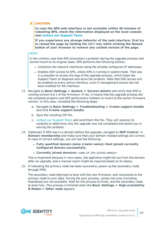# **A** CAUTION:

**In case the SPS web interface is not available within 30 minutes of rebooting SPS, check the information displayed on the local console and contact our [Support](https://support.oneidentity.com/one-identity-safeguard-for-privileged-sessions) Team.**

**If you experience any strange behavior of the web interface, first try to reload the page by holding the SHIFT key while clicking the Reload button of your browser to remove any cached version of the page.**

### NOTE:

In the unlikely case that SPS encounters a problem during the upgrade process and cannot revert to its original state, SPS performs the following actions:

- <sup>l</sup> Initializes the network interfaces using the already configured IP addresses.
- Enables SSH-access to SPS, unless SPS is running in sealed mode. That way it is possible to access the logs of the upgrade process, which helps the Support Team to diagnose and solve the problem. Note that SSH access will be enabled on every active interface, even if management access has not been enabled for the interface.
- 13. Navigate to **Basic Settings > System > Version details** and verify that SPS is running version 6.8.1 of the firmware. If not, it means that the upgrade process did not complete properly and SPS performed a rollback to revert to the earlier firmware version. In this case, complete the following steps:
	- a. Navigate to **Basic Settings > Troubleshooting > Create support bundle** and click **Create support bundle**.
	- b. Save the resulting ZIP file.
	- c. contact our [Support](https://support.oneidentity.com/one-identity-safeguard-for-privileged-sessions) Team and send them the file. They will analyze its contents to determine why the upgrade was not completed and assist you in solving the problem.
- 14. (Optional) If SPS was in a domain before the upgrade, navigate to **RDP Control -> Domain membership** and make sure that your domain-related settings are correct. In case of correct settings, you will see the following:
	- <sup>l</sup> **Fully qualified domain name (realm name): Host joined currently configured domain successfully.**
	- <sup>l</sup> **Currently joined domains:** <name.of.the.joined.domain>

This is important because in rare cases, the appliance might fall out from the domain after an upgrade, and a manual rejoin might be required based on its status.

15. If rebooting the primary node has been successful, power up the secondary node through IPMI.

The secondary node attempts to boot with the new firmware, and reconnects to the primary node to sync data. During the sync process, certain services (including Heartbeat) are not available. Wait for the process to finish, and the secondary node to boot fully. This process is finished when the **Basic Settings > High availability & Nodes > Other node** appears.

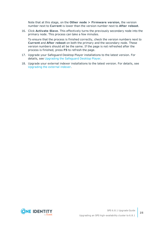Note that at this stage, on the **Other node > Firmware version**, the version number next to **Current** is lower than the version number next to **After reboot**.

16. Click **Activate Slave**. This effectively turns the previously secondary node into the primary node. This process can take a few minutes.

To ensure that the process is finished correctly, check the version numbers next to **Current** and **After reboot** on both the primary and the secondary node. These version numbers should all be the same. If the page is not refreshed after the process is finished, press **F5** to refresh the page.

- 17. Upgrade your Safeguard Desktop Player installations to the latest version. For details, see [Upgrading](#page-16-0) the Safeguard Desktop Player.
- 18. Upgrade your external indexer installations to the latest version. For details, see [Upgrading](#page-17-0) the external indexer.

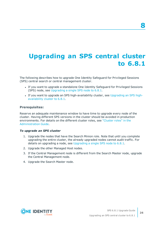# <span id="page-25-0"></span>**Upgrading an SPS central cluster to 6.8.1**

The following describes how to upgrade One Identity Safeguard for Privileged Sessions (SPS) central search or central management cluster.

- If you want to upgrade a standalone One Identity Safeguard for Privileged Sessions (SPS) node, see [Upgrading](#page-11-0) a single SPS node to 6.8.1.
- If you want to upgrade an SPS high-availability cluster, see [Upgrading](#page-19-0) an SPS high[availability](#page-19-0) cluster to 6.8.1.

### **Prerequisites:**

Reserve an adequate maintenance window to have time to upgrade every node of the cluster. Having different SPS versions in the cluster should be avoided in production environments. For details on the different cluster roles, see ["Cluster](https://support.oneidentity.com/technical-documents/safeguard-for-privileged-sessions/6.8.1/administration-guide/managing-one-identity-safeguard-for-privileged-sessions-sps/managing-safeguard-for-privileged-sessions-sps-clusters/cluster-roles/) roles" in the [Administration](https://support.oneidentity.com/technical-documents/safeguard-for-privileged-sessions/6.8.1/administration-guide/managing-one-identity-safeguard-for-privileged-sessions-sps/managing-safeguard-for-privileged-sessions-sps-clusters/cluster-roles/) Guide.

### *To upgrade an SPS cluster*

- 1. Upgrade the nodes that have the Search Minion role. Note that until you complete upgrading the entire cluster, the already upgraded nodes cannot audit traffic. For details on upgrading a node, see [Upgrading](#page-11-0) a single SPS node to 6.8.1.
- 2. Upgrade the other Managed Host nodes.
- 3. If the Central Management node is different from the Search Master node, upgrade the Central Management node.
- 4. Upgrade the Search Master node.

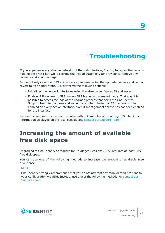# **Troubleshooting**

<span id="page-26-0"></span>If you experience any strange behavior of the web interface, first try to reload the page by holding the SHIFT key while clicking the Reload button of your browser to remove any cached version of the page.

In the unlikely case that SPS encounters a problem during the upgrade process and cannot revert to its original state, SPS performs the following actions:

- <sup>l</sup> Initializes the network interfaces using the already configured IP addresses.
- Enables SSH-access to SPS, unless SPS is running in sealed mode. That way it is possible to access the logs of the upgrade process that helps the One Identity Support Team to diagnose and solve the problem. Note that SSH access will be enabled on every active interface, even if management access has not been enabled for the interface.

In case the web interface is not available within 30 minutes of rebooting SPS, check the information displayed on the local console and contact our [Support](https://support.oneidentity.com/one-identity-safeguard-for-privileged-sessions) Team.

# <span id="page-26-1"></span>**Increasing the amount of available free disk space**

Upgrading to One Identity Safeguard for Privileged Sessions (SPS) requires at least 10% free disk space.

You can use one of the following methods to increase the amount of available free disk space.

NOTE:

One Identity strongly recommends that you do not attempt any manual modifications to your configuration via SSH. Instead, use one of the following methods, or [contact](https://support.oneidentity.com/one-identity-safeguard-for-privileged-sessions) our [Support](https://support.oneidentity.com/one-identity-safeguard-for-privileged-sessions) Team.



**27**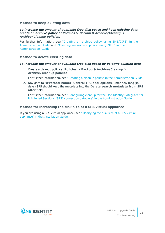### **Method to keep existing data**

### *To increase the amount of available free disk space and keep existing data, create an archive policy at Policies > Backup & Archive/Cleanup > Archive/Cleanup policies.*

For further information, see "Creating an archive policy using [SMB/CIFS"](https://support.oneidentity.com/technical-documents/safeguard-for-privileged-sessions/6.8.1/administration-guide/basic-settings/archiving-and-cleanup/creating-an-archive-policy-using-smb/cifs/) in the [Administration](https://support.oneidentity.com/technical-documents/safeguard-for-privileged-sessions/6.8.1/administration-guide/basic-settings/archiving-and-cleanup/creating-an-archive-policy-using-smb/cifs/) Guide and ["Creating](https://support.oneidentity.com/technical-documents/safeguard-for-privileged-sessions/6.8.1/administration-guide/basic-settings/archiving-and-cleanup/creating-an-archive-policy-using-nfs/) an archive policy using NFS" in the [Administration](https://support.oneidentity.com/technical-documents/safeguard-for-privileged-sessions/6.8.1/administration-guide/basic-settings/archiving-and-cleanup/creating-an-archive-policy-using-nfs/) Guide.

### **Method to delete existing data**

### *To increase the amount of available free disk space by deleting existing data*

1. Create a cleanup policy at **Policies > Backup & Archive/Cleanup > Archive/Cleanup policies**.

For further information, see "Creating a cleanup policy" in the [Administration](https://support.oneidentity.com/technical-documents/safeguard-for-privileged-sessions/6.8.1/administration-guide/basic-settings/archiving-and-cleanup/creating-a-cleanup-policy/) Guide.

2. Navigate to **<Protocol name> Control > Global options**. Enter how long (in days) SPS should keep the metadata into the **Delete search metadata from SPS after** field.

For further information, see ["Configuring](https://support.oneidentity.com/technical-documents/safeguard-for-privileged-sessions/6.8.1/administration-guide/general-connection-settings/configuring-cleanup-for-the-one-identity-safeguard-for-privileged-sessions-sps-connection-database/) cleanup for the One Identity Safeguard for Privileged Sessions (SPS) connection database" in the [Administration](https://support.oneidentity.com/technical-documents/safeguard-for-privileged-sessions/6.8.1/administration-guide/general-connection-settings/configuring-cleanup-for-the-one-identity-safeguard-for-privileged-sessions-sps-connection-database/) Guide.

### **Method for increasing the disk size of a SPS virtual appliance**

If you are using a SPS virtual appliance, see ["Modifying](https://support.oneidentity.com/technical-documents/safeguard-for-privileged-sessions/6.8.1/installation-guide/virtual-appliance-maintenance/modifying-the-disk-size-of-a-sps-virtual-appliance/) the disk size of a SPS virtual appliance" in the [Installation](https://support.oneidentity.com/technical-documents/safeguard-for-privileged-sessions/6.8.1/installation-guide/virtual-appliance-maintenance/modifying-the-disk-size-of-a-sps-virtual-appliance/) Guide.